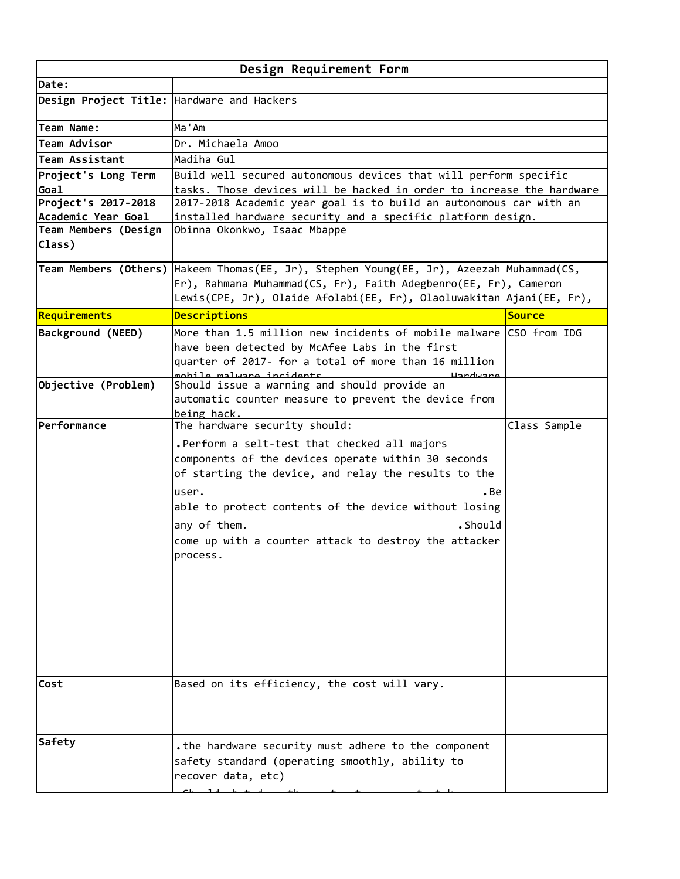| Design Requirement Form                    |                                                                                                                                                                                                                                                                                                                                                                         |               |  |
|--------------------------------------------|-------------------------------------------------------------------------------------------------------------------------------------------------------------------------------------------------------------------------------------------------------------------------------------------------------------------------------------------------------------------------|---------------|--|
| Date:                                      |                                                                                                                                                                                                                                                                                                                                                                         |               |  |
| Design Project Title: Hardware and Hackers |                                                                                                                                                                                                                                                                                                                                                                         |               |  |
| Team Name:                                 | Ma'Am                                                                                                                                                                                                                                                                                                                                                                   |               |  |
| Team Advisor                               | Dr. Michaela Amoo                                                                                                                                                                                                                                                                                                                                                       |               |  |
| <b>Team Assistant</b>                      | Madiha Gul                                                                                                                                                                                                                                                                                                                                                              |               |  |
| Project's Long Term                        | Build well secured autonomous devices that will perform specific                                                                                                                                                                                                                                                                                                        |               |  |
| Goal                                       | tasks. Those devices will be hacked in order to increase the hardware                                                                                                                                                                                                                                                                                                   |               |  |
| Project's 2017-2018                        | 2017-2018 Academic year goal is to build an autonomous car with an                                                                                                                                                                                                                                                                                                      |               |  |
| Academic Year Goal                         | installed hardware security and a specific platform design.                                                                                                                                                                                                                                                                                                             |               |  |
| Team Members (Design<br>Class)             | Obinna Okonkwo, Isaac Mbappe                                                                                                                                                                                                                                                                                                                                            |               |  |
|                                            | Team Members (Others) Hakeem Thomas(EE, Jr), Stephen Young(EE, Jr), Azeezah Muhammad(CS,<br>Fr), Rahmana Muhammad(CS, Fr), Faith Adegbenro(EE, Fr), Cameron                                                                                                                                                                                                             |               |  |
|                                            | Lewis(CPE, Jr), Olaide Afolabi(EE, Fr), Olaoluwakitan Ajani(EE, Fr),                                                                                                                                                                                                                                                                                                    |               |  |
| Requirements                               | <b>Descriptions</b>                                                                                                                                                                                                                                                                                                                                                     | <b>Source</b> |  |
| Background (NEED)                          | More than 1.5 million new incidents of mobile malware CSO from IDG<br>have been detected by McAfee Labs in the first<br>quarter of 2017- for a total of more than 16 million<br>mobile malwane incidents<br>Handwang                                                                                                                                                    |               |  |
| Objective (Problem)                        | Should issue a warning and should provide an<br>automatic counter measure to prevent the device from<br>being hack.                                                                                                                                                                                                                                                     |               |  |
| Performance                                | The hardware security should:<br>. Perform a selt-test that checked all majors<br>components of the devices operate within 30 seconds<br>of starting the device, and relay the results to the<br>user.<br>. Be<br>able to protect contents of the device without losing<br>.Should<br>any of them.<br>come up with a counter attack to destroy the attacker<br>process. | Class Sample  |  |
| Cost                                       | Based on its efficiency, the cost will vary.                                                                                                                                                                                                                                                                                                                            |               |  |
| <b>Safety</b>                              | . the hardware security must adhere to the component<br>safety standard (operating smoothly, ability to<br>recover data, etc)                                                                                                                                                                                                                                           |               |  |